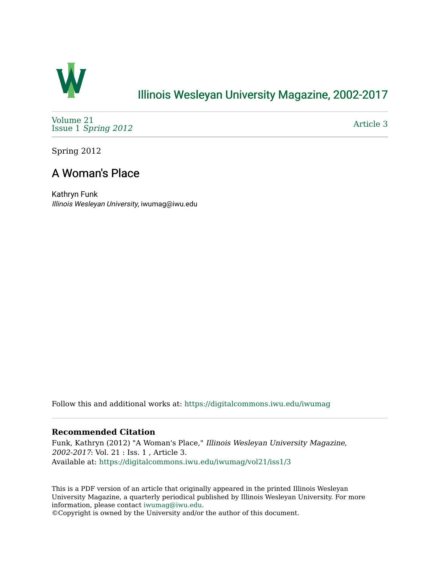

## [Illinois Wesleyan University Magazine, 2002-2017](https://digitalcommons.iwu.edu/iwumag)

[Volume 21](https://digitalcommons.iwu.edu/iwumag/vol21)  Issue 1 [Spring 2012](https://digitalcommons.iwu.edu/iwumag/vol21/iss1)

[Article 3](https://digitalcommons.iwu.edu/iwumag/vol21/iss1/3) 

Spring 2012

# A Woman's Place

Kathryn Funk Illinois Wesleyan University, iwumag@iwu.edu

Follow this and additional works at: [https://digitalcommons.iwu.edu/iwumag](https://digitalcommons.iwu.edu/iwumag?utm_source=digitalcommons.iwu.edu%2Fiwumag%2Fvol21%2Fiss1%2F3&utm_medium=PDF&utm_campaign=PDFCoverPages) 

#### **Recommended Citation**

Funk, Kathryn (2012) "A Woman's Place," Illinois Wesleyan University Magazine, 2002-2017: Vol. 21 : Iss. 1 , Article 3. Available at: [https://digitalcommons.iwu.edu/iwumag/vol21/iss1/3](https://digitalcommons.iwu.edu/iwumag/vol21/iss1/3?utm_source=digitalcommons.iwu.edu%2Fiwumag%2Fvol21%2Fiss1%2F3&utm_medium=PDF&utm_campaign=PDFCoverPages)

This is a PDF version of an article that originally appeared in the printed Illinois Wesleyan University Magazine, a quarterly periodical published by Illinois Wesleyan University. For more information, please contact [iwumag@iwu.edu](mailto:iwumag@iwu.edu).

©Copyright is owned by the University and/or the author of this document.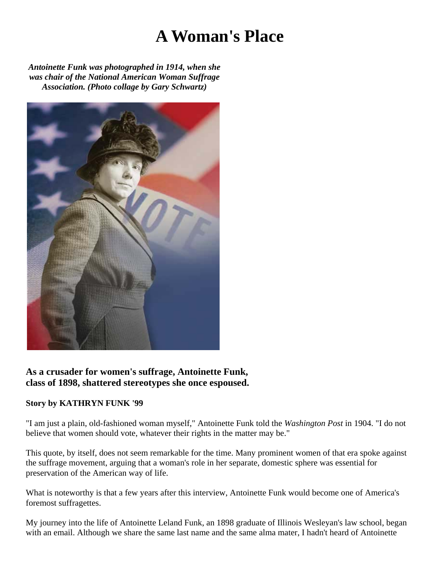# **A Woman's Place**

*Antoinette Funk was photographed in 1914, when she was chair of the National American Woman Suffrage Association. (Photo collage by Gary Schwartz)*



## **As a crusader for women's suffrage, Antoinette Funk, class of 1898, shattered stereotypes she once espoused.**

## **Story by KATHRYN FUNK '99**

"I am just a plain, old-fashioned woman myself," Antoinette Funk told the *Washington Post* in 1904. "I do not believe that women should vote, whatever their rights in the matter may be."

This quote, by itself, does not seem remarkable for the time. Many prominent women of that era spoke against the suffrage movement, arguing that a woman's role in her separate, domestic sphere was essential for preservation of the American way of life.

What is noteworthy is that a few years after this interview, Antoinette Funk would become one of America's foremost suffragettes.

My journey into the life of Antoinette Leland Funk, an 1898 graduate of Illinois Wesleyan's law school, began with an email. Although we share the same last name and the same alma mater, I hadn't heard of Antoinette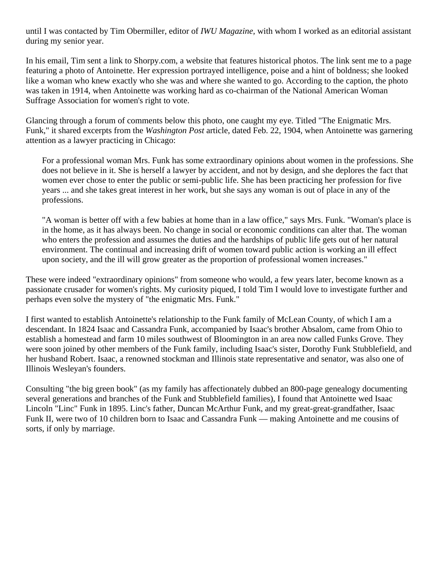until I was contacted by Tim Obermiller, editor of *IWU Magazine,* with whom I worked as an editorial assistant during my senior year.

In his email, Tim sent a link to Shorpy.com, a website that features historical photos. The link sent me to a page featuring a photo of Antoinette. Her expression portrayed intelligence, poise and a hint of boldness; she looked like a woman who knew exactly who she was and where she wanted to go. According to the caption, the photo was taken in 1914, when Antoinette was working hard as co-chairman of the National American Woman Suffrage Association for women's right to vote.

Glancing through a forum of comments below this photo, one caught my eye. Titled "The Enigmatic Mrs. Funk," it shared excerpts from the *Washington Post* article, dated Feb. 22, 1904, when Antoinette was garnering attention as a lawyer practicing in Chicago:

For a professional woman Mrs. Funk has some extraordinary opinions about women in the professions. She does not believe in it. She is herself a lawyer by accident, and not by design, and she deplores the fact that women ever chose to enter the public or semi-public life. She has been practicing her profession for five years ... and she takes great interest in her work, but she says any woman is out of place in any of the professions.

"A woman is better off with a few babies at home than in a law office," says Mrs. Funk. "Woman's place is in the home, as it has always been. No change in social or economic conditions can alter that. The woman who enters the profession and assumes the duties and the hardships of public life gets out of her natural environment. The continual and increasing drift of women toward public action is working an ill effect upon society, and the ill will grow greater as the proportion of professional women increases."

These were indeed "extraordinary opinions" from someone who would, a few years later, become known as a passionate crusader for women's rights. My curiosity piqued, I told Tim I would love to investigate further and perhaps even solve the mystery of "the enigmatic Mrs. Funk."

I first wanted to establish Antoinette's relationship to the Funk family of McLean County, of which I am a descendant. In 1824 Isaac and Cassandra Funk, accompanied by Isaac's brother Absalom, came from Ohio to establish a homestead and farm 10 miles southwest of Bloomington in an area now called Funks Grove. They were soon joined by other members of the Funk family, including Isaac's sister, Dorothy Funk Stubblefield, and her husband Robert. Isaac, a renowned stockman and Illinois state representative and senator, was also one of Illinois Wesleyan's founders.

Consulting "the big green book" (as my family has affectionately dubbed an 800-page genealogy documenting several generations and branches of the Funk and Stubblefield families), I found that Antoinette wed Isaac Lincoln "Linc" Funk in 1895. Linc's father, Duncan McArthur Funk, and my great-great-grandfather, Isaac Funk II, were two of 10 children born to Isaac and Cassandra Funk — making Antoinette and me cousins of sorts, if only by marriage.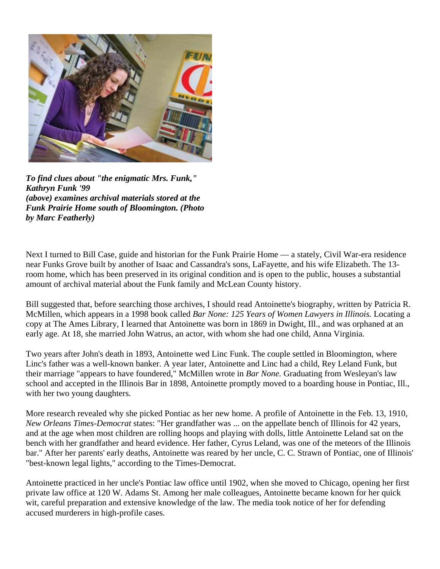

*To find clues about "the enigmatic Mrs. Funk," Kathryn Funk '99 (above) examines archival materials stored at the Funk Prairie Home south of Bloomington. (Photo by Marc Featherly)* 

Next I turned to Bill Case, guide and historian for the Funk Prairie Home — a stately, Civil War-era residence near Funks Grove built by another of Isaac and Cassandra's sons, LaFayette, and his wife Elizabeth. The 13 room home, which has been preserved in its original condition and is open to the public, houses a substantial amount of archival material about the Funk family and McLean County history.

Bill suggested that, before searching those archives, I should read Antoinette's biography, written by Patricia R. McMillen, which appears in a 1998 book called *Bar None: 125 Years of Women Lawyers in Illinois.* Locating a copy at The Ames Library, I learned that Antoinette was born in 1869 in Dwight, Ill., and was orphaned at an early age. At 18, she married John Watrus, an actor, with whom she had one child, Anna Virginia.

Two years after John's death in 1893, Antoinette wed Linc Funk. The couple settled in Bloomington, where Linc's father was a well-known banker. A year later, Antoinette and Linc had a child, Rey Leland Funk, but their marriage "appears to have foundered," McMillen wrote in *Bar None.* Graduating from Wesleyan's law school and accepted in the Illinois Bar in 1898, Antoinette promptly moved to a boarding house in Pontiac, Ill., with her two young daughters.

More research revealed why she picked Pontiac as her new home. A profile of Antoinette in the Feb. 13, 1910, *New Orleans Times-Democrat* states: "Her grandfather was ... on the appellate bench of Illinois for 42 years, and at the age when most children are rolling hoops and playing with dolls, little Antoinette Leland sat on the bench with her grandfather and heard evidence. Her father, Cyrus Leland, was one of the meteors of the Illinois bar." After her parents' early deaths, Antoinette was reared by her uncle, C. C. Strawn of Pontiac, one of Illinois' "best-known legal lights," according to the Times-Democrat.

Antoinette practiced in her uncle's Pontiac law office until 1902, when she moved to Chicago, opening her first private law office at 120 W. Adams St. Among her male colleagues, Antoinette became known for her quick wit, careful preparation and extensive knowledge of the law. The media took notice of her for defending accused murderers in high-profile cases.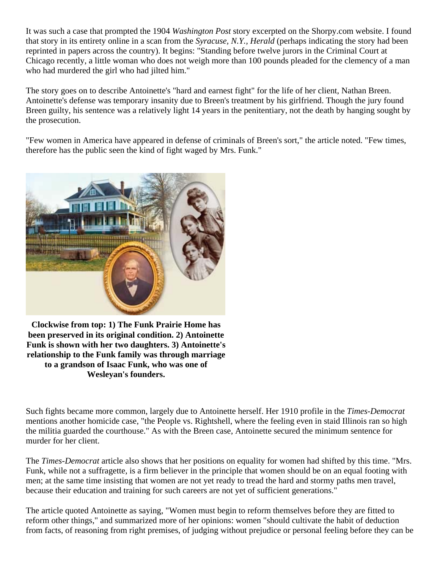It was such a case that prompted the 1904 *Washington Post* story excerpted on the Shorpy.com website. I found that story in its entirety online in a scan from the *Syracuse, N.Y., Herald* (perhaps indicating the story had been reprinted in papers across the country). It begins: "Standing before twelve jurors in the Criminal Court at Chicago recently, a little woman who does not weigh more than 100 pounds pleaded for the clemency of a man who had murdered the girl who had jilted him."

The story goes on to describe Antoinette's "hard and earnest fight" for the life of her client, Nathan Breen. Antoinette's defense was temporary insanity due to Breen's treatment by his girlfriend. Though the jury found Breen guilty, his sentence was a relatively light 14 years in the penitentiary, not the death by hanging sought by the prosecution.

"Few women in America have appeared in defense of criminals of Breen's sort," the article noted. "Few times, therefore has the public seen the kind of fight waged by Mrs. Funk."



**Clockwise from top: 1) The Funk Prairie Home has been preserved in its original condition. 2) Antoinette Funk is shown with her two daughters. 3) Antoinette's relationship to the Funk family was through marriage to a grandson of Isaac Funk, who was one of Wesleyan's founders.**

Such fights became more common, largely due to Antoinette herself. Her 1910 profile in the *Times-Democrat* mentions another homicide case, "the People vs. Rightshell, where the feeling even in staid Illinois ran so high the militia guarded the courthouse." As with the Breen case, Antoinette secured the minimum sentence for murder for her client.

The *Times-Democrat* article also shows that her positions on equality for women had shifted by this time. "Mrs. Funk, while not a suffragette, is a firm believer in the principle that women should be on an equal footing with men; at the same time insisting that women are not yet ready to tread the hard and stormy paths men travel, because their education and training for such careers are not yet of sufficient generations."

The article quoted Antoinette as saying, "Women must begin to reform themselves before they are fitted to reform other things," and summarized more of her opinions: women "should cultivate the habit of deduction from facts, of reasoning from right premises, of judging without prejudice or personal feeling before they can be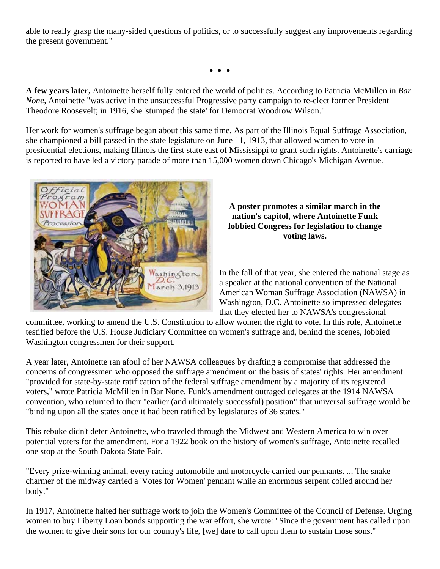able to really grasp the many-sided questions of politics, or to successfully suggest any improvements regarding the present government."

**. . .** 

**A few years later,** Antoinette herself fully entered the world of politics. According to Patricia McMillen in *Bar None,* Antoinette "was active in the unsuccessful Progressive party campaign to re-elect former President Theodore Roosevelt; in 1916, she 'stumped the state' for Democrat Woodrow Wilson."

Her work for women's suffrage began about this same time. As part of the Illinois Equal Suffrage Association, she championed a bill passed in the state legislature on June 11, 1913, that allowed women to vote in presidential elections, making Illinois the first state east of Mississippi to grant such rights. Antoinette's carriage is reported to have led a victory parade of more than 15,000 women down Chicago's Michigan Avenue.



#### **A poster promotes a similar march in the nation's capitol, where Antoinette Funk lobbied Congress for legislation to change voting laws.**

In the fall of that year, she entered the national stage as a speaker at the national convention of the National American Woman Suffrage Association (NAWSA) in Washington, D.C. Antoinette so impressed delegates that they elected her to NAWSA's congressional

committee, working to amend the U.S. Constitution to allow women the right to vote. In this role, Antoinette testified before the U.S. House Judiciary Committee on women's suffrage and, behind the scenes, lobbied Washington congressmen for their support.

A year later, Antoinette ran afoul of her NAWSA colleagues by drafting a compromise that addressed the concerns of congressmen who opposed the suffrage amendment on the basis of states' rights. Her amendment "provided for state-by-state ratification of the federal suffrage amendment by a majority of its registered voters," wrote Patricia McMillen in Bar None. Funk's amendment outraged delegates at the 1914 NAWSA convention, who returned to their "earlier (and ultimately successful) position" that universal suffrage would be "binding upon all the states once it had been ratified by legislatures of 36 states."

This rebuke didn't deter Antoinette, who traveled through the Midwest and Western America to win over potential voters for the amendment. For a 1922 book on the history of women's suffrage, Antoinette recalled one stop at the South Dakota State Fair.

"Every prize-winning animal, every racing automobile and motorcycle carried our pennants. ... The snake charmer of the midway carried a 'Votes for Women' pennant while an enormous serpent coiled around her body."

In 1917, Antoinette halted her suffrage work to join the Women's Committee of the Council of Defense. Urging women to buy Liberty Loan bonds supporting the war effort, she wrote: "Since the government has called upon the women to give their sons for our country's life, [we] dare to call upon them to sustain those sons."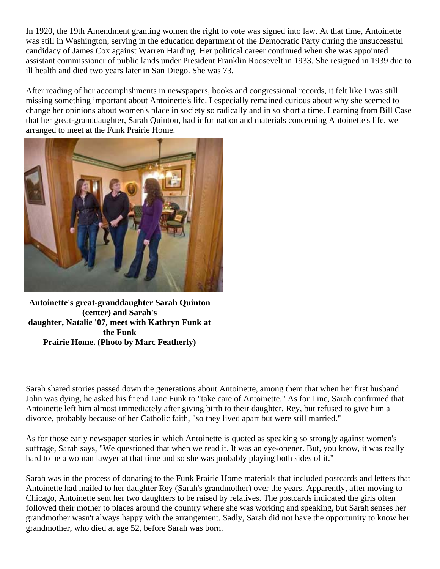In 1920, the 19th Amendment granting women the right to vote was signed into law. At that time, Antoinette was still in Washington, serving in the education department of the Democratic Party during the unsuccessful candidacy of James Cox against Warren Harding. Her political career continued when she was appointed assistant commissioner of public lands under President Franklin Roosevelt in 1933. She resigned in 1939 due to ill health and died two years later in San Diego. She was 73.

After reading of her accomplishments in newspapers, books and congressional records, it felt like I was still missing something important about Antoinette's life. I especially remained curious about why she seemed to change her opinions about women's place in society so radically and in so short a time. Learning from Bill Case that her great-granddaughter, Sarah Quinton, had information and materials concerning Antoinette's life, we arranged to meet at the Funk Prairie Home.



**Antoinette's great-granddaughter Sarah Quinton (center) and Sarah's daughter, Natalie '07, meet with Kathryn Funk at the Funk Prairie Home. (Photo by Marc Featherly)**

Sarah shared stories passed down the generations about Antoinette, among them that when her first husband John was dying, he asked his friend Linc Funk to "take care of Antoinette." As for Linc, Sarah confirmed that Antoinette left him almost immediately after giving birth to their daughter, Rey, but refused to give him a divorce, probably because of her Catholic faith, "so they lived apart but were still married."

As for those early newspaper stories in which Antoinette is quoted as speaking so strongly against women's suffrage, Sarah says, "We questioned that when we read it. It was an eye-opener. But, you know, it was really hard to be a woman lawyer at that time and so she was probably playing both sides of it."

Sarah was in the process of donating to the Funk Prairie Home materials that included postcards and letters that Antoinette had mailed to her daughter Rey (Sarah's grandmother) over the years. Apparently, after moving to Chicago, Antoinette sent her two daughters to be raised by relatives. The postcards indicated the girls often followed their mother to places around the country where she was working and speaking, but Sarah senses her grandmother wasn't always happy with the arrangement. Sadly, Sarah did not have the opportunity to know her grandmother, who died at age 52, before Sarah was born.